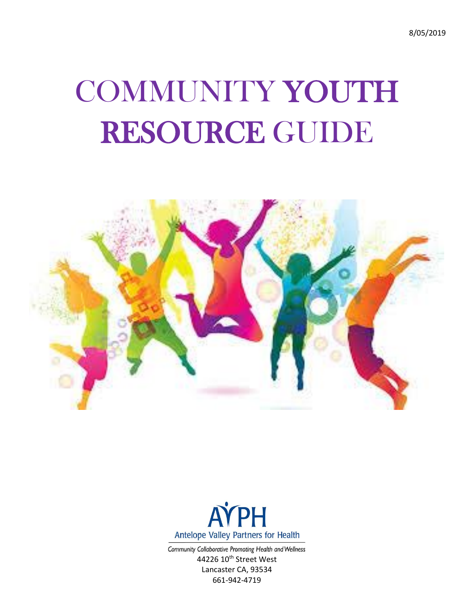8/05/2019

# COMMUNITY YOUTH RESOURCE GUIDE





Community Collaborative Promoting Health and Wellness 44226 10<sup>th</sup> Street West Lancaster CA, 93534 661-942-4719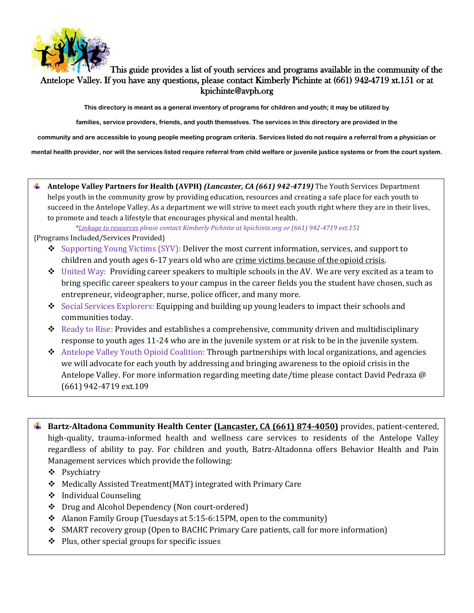

## This guide provides a list of youth services and programs available in the community of the Antelope Valley. If you have any questions, please contact Kimberly Pichinte at (661) 942-4719 xt.151 or at kpichinte@avph.org

**This directory is meant as a general inventory of programs for children and youth; it may be utilized by**

**families, service providers, friends, and youth themselves. The services in this directory are provided in the**

**community and are accessible to young people meeting program criteria. Services listed do not require a referral from a physician or**

**mental health provider, nor will the services listed require referral from child welfare or juvenile justice systems or from the court system.**

**Antelope Valley Partners for Health (AVPH)** *(Lancaster, CA (661) 942-4719)* The Youth Services Department helps youth in the community grow by providing education, resources and creating a safe place for each youth to succeed in the Antelope Valley. As a department we will strive to meet each youth right where they are in their lives, to promote and teach a lifestyle that encourages physical and mental health.

*\*Linkage to resources please contact Kimberly Pichinte at kpichinte.org or (661) 942-4719 ext.151*

{Programs Included/Services Provided}

- ❖ Supporting Young Victims (SYV): Deliver the most current information, services, and support to children and youth ages 6-17 years old who are crime victims because of the opioid crisis.
- $\bullet$  United Way: Providing career speakers to multiple schools in the AV. We are very excited as a team to bring specific career speakers to your campus in the career fields you the student have chosen, such as entrepreneur, videographer, nurse, police officer, and many more.
- ❖ Social Services Explorers: Equipping and building up young leaders to impact their schools and communities today.
- $\triangle$  Ready to Rise: Provides and establishes a comprehensive, community driven and multidisciplinary response to youth ages 11-24 who are in the juvenile system or at risk to be in the juvenile system.
- ❖ Antelope Valley Youth Opioid Coalition: Through partnerships with local organizations, and agencies we will advocate for each youth by addressing and bringing awareness to the opioid crisis in the Antelope Valley. For more information regarding meeting date/time please contact David Pedraza @ (661) 942-4719 ext.109
- **Bartz-Altadona Community Health Center (Lancaster, CA (661) 874-4050)** provides, patient-centered, high-quality, trauma-informed health and wellness care services to residents of the Antelope Valley regardless of ability to pay. For children and youth, Batrz-Altadonna offers Behavior Health and Pain Management services which provide the following:
	- ❖ Psychiatry
	- ❖ Medically Assisted Treatment(MAT) integrated with Primary Care
	- ❖ Individual Counseling
	- ❖ Drug and Alcohol Dependency (Non court-ordered)
	- $\triangleleft$  Alanon Family Group (Tuesdays at 5:15-6:15PM, open to the community)
	- ❖ SMART recovery group (Open to BACHC Primary Care patients, call for more information)
	- ❖ Plus, other special groups for specific issues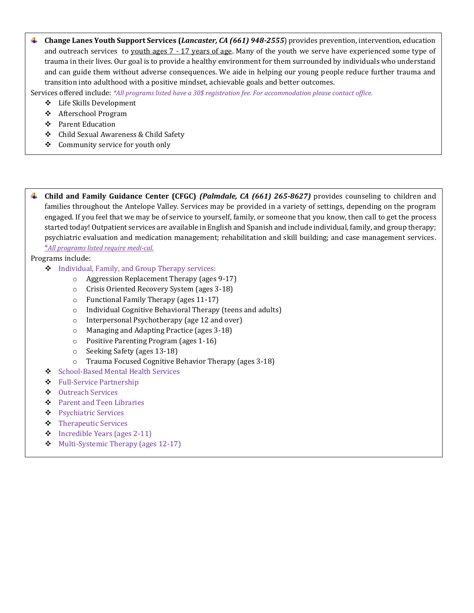**Change Lanes Youth Support Services (***Lancaster, CA (661) 948-2555*) provides prevention, intervention, education and outreach services to youth ages 7 - 17 years of age. Many of the youth we serve have experienced some type of trauma in their lives. Our goal is to provide a healthy environment for them surrounded by individuals who understand and can guide them without adverse consequences. We aide in helping our young people reduce further trauma and transition into adulthood with a positive mindset, achievable goals and better outcomes.

Services offered include: *\*All programs listed have a 30\$ registration fee. For accommodation please contact office.*

- ❖ Life Skills Development
- ❖ Afterschool Program
- ❖ Parent Education
- ❖ Child Sexual Awareness & Child Safety
- ❖ Community service for youth only

**Child and Family Guidance Center (CFGC)** *(Palmdale, CA (661) 265-8627)* provides counseling to children and families throughout the Antelope Valley. Services may be provided in a variety of settings, depending on the program engaged. If you feel that we may be of service to yourself, family, or someone that you know, then call to get the process started today! Outpatient services are available in English and Spanish and include individual, family, and group therapy; psychiatric evaluation and medication management; rehabilitation and skill building; and case management services. \**All programs listed require medi-cal.* 

Programs include:

- ❖ Individual, Family, and Group Therapy services:
	- o Aggression Replacement Therapy (ages 9-17)
	- o Crisis Oriented Recovery System (ages 3-18)
	- o Functional Family Therapy (ages 11-17)
	- o Individual Cognitive Behavioral Therapy (teens and adults)
	- o Interpersonal Psychotherapy (age 12 and over)
	- o Managing and Adapting Practice (ages 3-18)
	- o Positive Parenting Program (ages 1-16)
	- o Seeking Safety (ages 13-18)
	- o Trauma Focused Cognitive Behavior Therapy (ages 3-18)
- ❖ School-Based Mental Health Services
- ❖ Full-Service Partnership
- ❖ Outreach Services
- ❖ Parent and Teen Libraries
- ❖ Psychiatric Services
- ❖ Therapeutic Services
- ❖ Incredible Years (ages 2-11)
- ❖ Multi-Systemic Therapy (ages 12-17)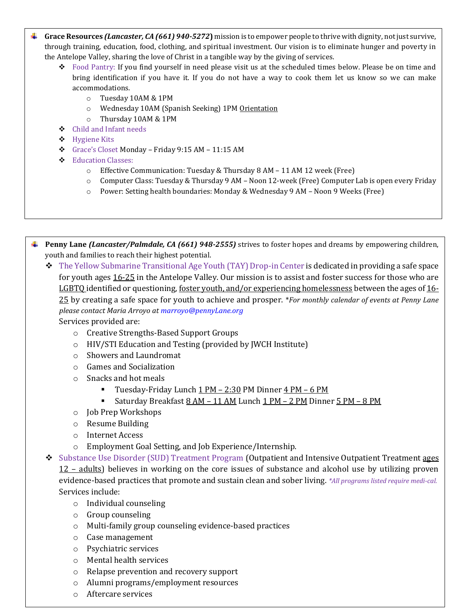- **Grace Resources** *(Lancaster, CA (661) 940-5272***)** mission is to empower people to thrive with dignity, not just survive, through training, education, food, clothing, and spiritual investment. Our vision is to eliminate hunger and poverty in the Antelope Valley, sharing the love of Christ in a tangible way by the giving of services.
	- ❖ Food Pantry: If you find yourself in need please visit us at the scheduled times below. Please be on time and bring identification if you have it. If you do not have a way to cook them let us know so we can make accommodations.
		- o Tuesday 10AM & 1PM
		- o Wednesday 10AM (Spanish Seeking) 1PM Orientation
		- o Thursday 10AM & 1PM
	- ❖ Child and Infant needs
	- ❖ Hygiene Kits
	- ❖ Grace's Closet Monday Friday 9:15 AM 11:15 AM
	- ❖ Education Classes:
		- o Effective Communication: Tuesday & Thursday 8 AM 11 AM 12 week (Free)
		- o Computer Class: Tuesday & Thursday 9 AM Noon 12-week (Free) Computer Lab is open every Friday
		- o Power: Setting health boundaries: Monday & Wednesday 9 AM Noon 9 Weeks (Free)
- **Penny Lane** *(Lancaster/Palmdale, CA (661) 948-2555)* strives to foster hopes and dreams by empowering children, . youth and families to reach their highest potential.
	- ❖ The Yellow Submarine Transitional Age Youth (TAY) Drop-in Center is dedicated in providing a safe space for youth ages 16-25 in the Antelope Valley. Our mission is to assist and foster success for those who are LGBTQ identified or questioning, <u>foster youth, and/or experiencing homelessness</u> between the ages of 16-25 by creating a safe space for youth to achieve and prosper. \**For monthly calendar of events at Penny Lane please contact Maria Arroyo a[t marroyo@pennyLane.org](mailto:marroyo@pennyLane.org)*

Services provided are:

- o Creative Strengths-Based Support Groups
- o HIV/STI Education and Testing (provided by JWCH Institute)
- o Showers and Laundromat
- o Games and Socialization
- o Snacks and hot meals
	- **Tuesday-Friday Lunch**  $\underline{1 PM} 2:30$  **PM Dinner**  $\underline{4 PM} 6$  **PM**
	- Saturday Breakfast 8 AM 11 AM Lunch 1 PM 2 PM Dinner 5 PM 8 PM
- o Job Prep Workshops
- o Resume Building
- o Internet Access
- o Employment Goal Setting, and Job Experience/Internship.
- ❖ Substance Use Disorder (SUD) Treatment Program (Outpatient and Intensive Outpatient Treatment ages 12 – adults) believes in working on the core issues of substance and alcohol use by utilizing proven evidence-based practices that promote and sustain clean and sober living. *\*All programs listed require medi-cal.* Services include:
	- o Individual counseling
	- o Group counseling
	- o Multi-family group counseling evidence-based practices
	- o Case management
	- o Psychiatric services
	- o Mental health services
	- o Relapse prevention and recovery support
	- o Alumni programs/employment resources
	- o Aftercare services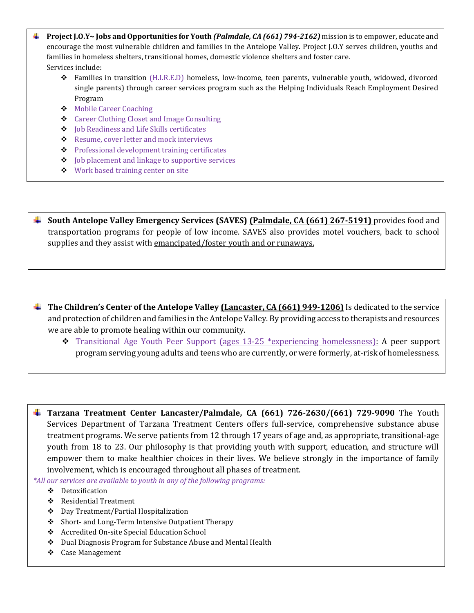- **Project J.O.Y~ Jobs and Opportunities for Youth** *(Palmdale, CA (661) 794-2162)* mission is to empower, educate and encourage the most vulnerable children and families in the Antelope Valley. Project J.O.Y serves children, youths and families in homeless shelters, transitional homes, domestic violence shelters and foster care. Services include:
	- ❖ Families in transition (H.I.R.E.D) homeless, low-income, teen parents, vulnerable youth, widowed, divorced single parents) through career services program such as the Helping Individuals Reach Employment Desired Program
	- ❖ Mobile Career Coaching
	- ❖ Career Clothing Closet and Image Consulting
	- ❖ Job Readiness and Life Skills certificates
	- ❖ Resume, cover letter and mock interviews
	- ❖ Professional development training certificates
	- ❖ Job placement and linkage to supportive services
	- ❖ Work based training center on site

**South Antelope Valley Emergency Services (SAVES)** *(Palmdale, CA (661) 267-5191)* **provides food and** transportation programs for people of low income. SAVES also provides motel vouchers, back to school supplies and they assist with emancipated/foster youth and or runaways.

- **Th**e **Children's Center of the Antelope Valley (Lancaster, CA (661) 949-1206)** Is dedicated to the service and protection of children and families in the Antelope Valley. By providing access to therapists and resources we are able to promote healing within our community.
	- ❖ Transitional Age Youth Peer Support (ages 13-25 \*experiencing homelessness): A peer support program serving young adults and teens who are currently, or were formerly, at-risk of homelessness.

**Tarzana Treatment Center Lancaster/Palmdale, CA (661) 726-2630/(661) 729-9090** The Youth Services Department of Tarzana Treatment Centers offers full-service, comprehensive substance abuse treatment programs. We serve patients from 12 through 17 years of age and, as appropriate, transitional-age youth from 18 to 23. Our philosophy is that providing youth with support, education, and structure will empower them to make healthier choices in their lives. We believe strongly in the importance of family involvement, which is encouraged throughout all phases of treatment.

*\*All our services are available to youth in any of the following programs:*

- ❖ Detoxification
- ❖ Residential Treatment
- ❖ Day Treatment/Partial Hospitalization
- ❖ Short- and Long-Term Intensive Outpatient Therapy
- ❖ Accredited On-site Special Education School
- ❖ Dual Diagnosis Program for Substance Abuse and Mental Health
- ❖ Case Management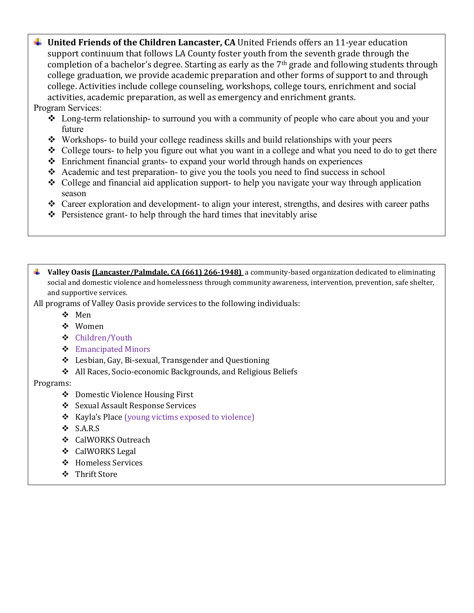↓ United Friends of the Children Lancaster, CA United Friends offers an 11-year education support continuum that follows LA County foster youth from the seventh grade through the completion of a bachelor's degree. Starting as early as the  $7<sup>th</sup>$  grade and following students through college graduation, we provide academic preparation and other forms of support to and through college. Activities include college counseling, workshops, college tours, enrichment and social activities, academic preparation, as well as emergency and enrichment grants.

Program Services:

- ❖ Long-term relationship- to surround you with a community of people who care about you and your future
- ❖ Workshops- to build your college readiness skills and build relationships with your peers
- $\triangle$  College tours- to help you figure out what you want in a college and what you need to do to get there
- ❖ Enrichment financial grants- to expand your world through hands on experiences
- ❖ Academic and test preparation- to give you the tools you need to find success in school
- ❖ College and financial aid application support- to help you navigate your way through application season
- ❖ Career exploration and development- to align your interest, strengths, and desires with career paths
- ❖ Persistence grant- to help through the hard times that inevitably arise
- **Valley Oasis (Lancaster/Palmdale, CA (661) 266-1948)** a community-based organization dedicated to eliminating social and domestic violence and homelessness through community awareness, intervention, prevention, safe shelter, and supportive services.
- All programs of Valley Oasis provide services to the following individuals:
	- ❖ Men
	- ❖ Women
	- ❖ Children/Youth
	- ❖ Emancipated Minors
	- ❖ Lesbian, Gay, Bi-sexual, Transgender and Questioning
	- ❖ All Races, Socio-economic Backgrounds, and Religious Beliefs

Programs:

- ❖ Domestic Violence Housing First
- ❖ Sexual Assault Response Services
- ❖ Kayla's Place (young victims exposed to violence)
- ❖ S.A.R.S
- ❖ CalWORKS Outreach
- ❖ CalWORKS Legal
- ❖ Homeless Services
- ❖ Thrift Store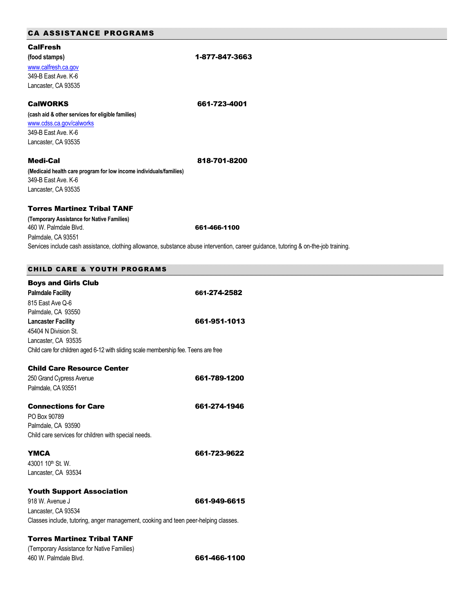| <b>CA ASSISTANCE PROGRAMS</b>                                                       |                                                                                                                                      |
|-------------------------------------------------------------------------------------|--------------------------------------------------------------------------------------------------------------------------------------|
| <b>CalFresh</b>                                                                     |                                                                                                                                      |
| (food stamps)                                                                       | 1-877-847-3663                                                                                                                       |
| www.calfresh.ca.gov                                                                 |                                                                                                                                      |
| 349-B East Ave. K-6                                                                 |                                                                                                                                      |
| Lancaster, CA 93535                                                                 |                                                                                                                                      |
| <b>CalWORKS</b>                                                                     | 661-723-4001                                                                                                                         |
| (cash aid & other services for eligible families)                                   |                                                                                                                                      |
| www.cdss.ca.gov/calworks                                                            |                                                                                                                                      |
| 349-B East Ave, K-6                                                                 |                                                                                                                                      |
| Lancaster, CA 93535                                                                 |                                                                                                                                      |
| <b>Medi-Cal</b>                                                                     | 818-701-8200                                                                                                                         |
| (Medicaid health care program for low income individuals/families)                  |                                                                                                                                      |
| 349-B East Ave. K-6                                                                 |                                                                                                                                      |
| Lancaster, CA 93535                                                                 |                                                                                                                                      |
| <b>Torres Martinez Tribal TANF</b>                                                  |                                                                                                                                      |
| (Temporary Assistance for Native Families)<br>460 W. Palmdale Blvd.                 | 661-466-1100                                                                                                                         |
| Palmdale, CA 93551                                                                  |                                                                                                                                      |
|                                                                                     | Services include cash assistance, clothing allowance, substance abuse intervention, career guidance, tutoring & on-the-job training. |
| <b>CHILD CARE &amp; YOUTH PROGRAMS</b>                                              |                                                                                                                                      |
| <b>Boys and Girls Club</b>                                                          |                                                                                                                                      |
| <b>Palmdale Facility</b>                                                            | 661-274-2582                                                                                                                         |
| 815 East Ave Q-6                                                                    |                                                                                                                                      |
| Palmdale, CA 93550                                                                  |                                                                                                                                      |
| <b>Lancaster Facility</b>                                                           | 661-951-1013                                                                                                                         |
| 45404 N Division St.                                                                |                                                                                                                                      |
| Lancaster, CA 93535                                                                 |                                                                                                                                      |
| Child care for children aged 6-12 with sliding scale membership fee. Teens are free |                                                                                                                                      |
|                                                                                     |                                                                                                                                      |

| <b>Child Care Resource Center</b>                    |              |
|------------------------------------------------------|--------------|
| 250 Grand Cypress Avenue                             | 661-789-1200 |
| Palmdale, CA 93551                                   |              |
| <b>Connections for Care</b>                          | 661-274-1946 |
| PO Box 90789                                         |              |
| Palmdale, CA 93590                                   |              |
| Child care services for children with special needs. |              |
| <b>YMCA</b>                                          | 661-723-9622 |
| $4300110^{\text{th}}$ St. W.                         |              |
| Lancaster, CA 93534                                  |              |
|                                                      |              |

#### Youth Support Association

918 W. Avenue J **661-949-6615** Lancaster, CA 93534 Classes include, tutoring, anger management, cooking and teen peer-helping classes.

#### Torres Martinez Tribal TANF

(Temporary Assistance for Native Families) A60 W. Palmdale Blvd. **661-466-1100**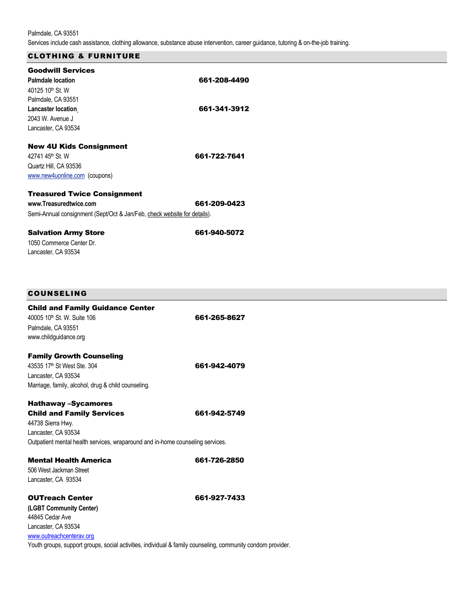Palmdale, CA 93551 Services include cash assistance, clothing allowance, substance abuse intervention, career guidance, tutoring & on-the-job training.

## CLOTHING & FURNITURE

| <b>Goodwill Services</b><br><b>Palmdale location</b><br>40125 10 <sup>th</sup> St. W | 661-208-4490 |
|--------------------------------------------------------------------------------------|--------------|
| Palmdale, CA 93551                                                                   |              |
| <b>Lancaster location</b>                                                            | 661-341-3912 |
| 2043 W. Avenue J                                                                     |              |
| Lancaster, CA 93534                                                                  |              |
| <b>New 4U Kids Consignment</b>                                                       |              |
| 42741 45 <sup>th</sup> St. W                                                         | 661-722-7641 |
| Quartz Hill, CA 93536                                                                |              |
| www.new4uonline.com (coupons)                                                        |              |
| <b>Treasured Twice Consignment</b>                                                   |              |
| www.Treasuredtwice.com                                                               | 661-209-0423 |
| Semi-Annual consignment (Sept/Oct & Jan/Feb, check website for details).             |              |
| <b>Salvation Army Store</b>                                                          | 661-940-5072 |
| 1050 Commerce Center Dr.                                                             |              |
| Lancaster, CA 93534                                                                  |              |

| COUNSELING |  |  |
|------------|--|--|
|            |  |  |

| <b>Child and Family Guidance Center</b><br>40005 10 <sup>th</sup> St. W. Suite 106<br>Palmdale, CA 93551<br>www.childquidance.org                                                            | 661-265-8627 |
|----------------------------------------------------------------------------------------------------------------------------------------------------------------------------------------------|--------------|
| <b>Family Growth Counseling</b><br>43535 17 <sup>th</sup> St West Ste. 304<br>Lancaster, CA 93534<br>Marriage, family, alcohol, drug & child counseling.                                     | 661-942-4079 |
| <b>Hathaway -Sycamores</b><br><b>Child and Family Services</b><br>44738 Sierra Hwy.<br>Lancaster, CA 93534<br>Outpatient mental health services, wraparound and in-home counseling services. | 661-942-5749 |
| <b>Mental Health America</b><br>506 West Jackman Street<br>Lancaster, CA 93534                                                                                                               | 661-726-2850 |
| <b>OUTreach Center</b><br>(LGBT Community Center)<br>44845 Cedar Ave<br>Lancaster, CA 93534<br>www.outreachcenterav.org                                                                      | 661-927-7433 |
| Youth groups, support groups, social activities, individual & family counseling, community condom provider.                                                                                  |              |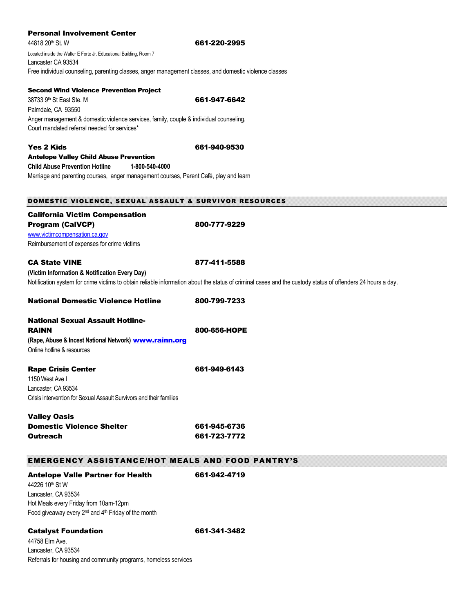#### Personal Involvement Center

Palmdale, CA 93550

Second Wind Violence Prevention Project

44818 20th St. W 661-220-2995 Located inside the Walter E Forte Jr. Educational Building, Room 7 Lancaster CA 93534 Free individual counseling, parenting classes, anger management classes, and domestic violence classes

38733 9th St East Ste. M 661-947-6642

| Anger management & domestic violence services, family, couple & individual counseling.<br>Court mandated referral needed for services* |                                                                                                                                                             |
|----------------------------------------------------------------------------------------------------------------------------------------|-------------------------------------------------------------------------------------------------------------------------------------------------------------|
| <b>Yes 2 Kids</b>                                                                                                                      | 661-940-9530                                                                                                                                                |
| <b>Antelope Valley Child Abuse Prevention</b>                                                                                          |                                                                                                                                                             |
| <b>Child Abuse Prevention Hotline</b><br>1-800-540-4000                                                                                |                                                                                                                                                             |
| Marriage and parenting courses, anger management courses, Parent Café, play and learn                                                  |                                                                                                                                                             |
| DOMESTIC VIOLENCE, SEXUAL ASSAULT & SURVIVOR RESOURCES                                                                                 |                                                                                                                                                             |
| <b>California Victim Compensation</b>                                                                                                  |                                                                                                                                                             |
| <b>Program (CalVCP)</b>                                                                                                                | 800-777-9229                                                                                                                                                |
| www.victimcompensation.ca.gov                                                                                                          |                                                                                                                                                             |
| Reimbursement of expenses for crime victims                                                                                            |                                                                                                                                                             |
| <b>CA State VINE</b>                                                                                                                   | 877-411-5588                                                                                                                                                |
| (Victim Information & Notification Every Day)                                                                                          |                                                                                                                                                             |
|                                                                                                                                        | Notification system for crime victims to obtain reliable information about the status of criminal cases and the custody status of offenders 24 hours a day. |
| <b>National Domestic Violence Hotline</b>                                                                                              | 800-799-7233                                                                                                                                                |
| <b>National Sexual Assault Hotline-</b>                                                                                                |                                                                                                                                                             |
| <b>RAINN</b>                                                                                                                           | 800-656-HOPE                                                                                                                                                |
| (Rape, Abuse & Incest National Network) www.rainn.org                                                                                  |                                                                                                                                                             |
| Online hotline & resources                                                                                                             |                                                                                                                                                             |
| <b>Rape Crisis Center</b>                                                                                                              | 661-949-6143                                                                                                                                                |
| 1150 West Ave I                                                                                                                        |                                                                                                                                                             |
| Lancaster, CA 93534                                                                                                                    |                                                                                                                                                             |
| Crisis intervention for Sexual Assault Survivors and their families                                                                    |                                                                                                                                                             |
| <b>Valley Oasis</b>                                                                                                                    |                                                                                                                                                             |
| <b>Domestic Violence Shelter</b>                                                                                                       | 661-945-6736                                                                                                                                                |
| <b>Outreach</b>                                                                                                                        | 661-723-7772                                                                                                                                                |
| <b>EMERGENCY ASSISTANCE/HOT MEALS AND FOOD PANTRY'S</b>                                                                                |                                                                                                                                                             |
| <b>Antelope Valle Partner for Health</b>                                                                                               | 661-942-4719                                                                                                                                                |
| 44226 10th St W                                                                                                                        |                                                                                                                                                             |
| Lancaster, CA 93534                                                                                                                    |                                                                                                                                                             |
| Hot Meals every Friday from 10am-12pm                                                                                                  |                                                                                                                                                             |
| Food giveaway every 2 <sup>nd</sup> and 4 <sup>th</sup> Friday of the month                                                            |                                                                                                                                                             |
|                                                                                                                                        |                                                                                                                                                             |

Catalyst Foundation 661-341-3482 44758 Elm Ave. Lancaster, CA 93534 Referrals for housing and community programs, homeless services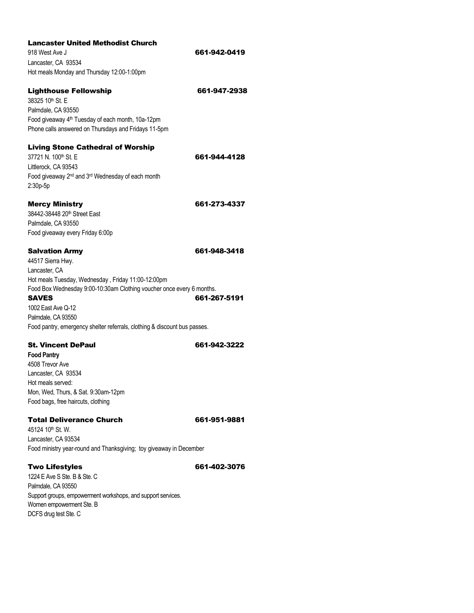| <b>Lancaster United Methodist Church</b>                                  |              |
|---------------------------------------------------------------------------|--------------|
| 918 West Ave J                                                            | 661-942-0419 |
| Lancaster, CA 93534                                                       |              |
| Hot meals Monday and Thursday 12:00-1:00pm                                |              |
|                                                                           |              |
| <b>Lighthouse Fellowship</b>                                              | 661-947-2938 |
| 38325 10th St. E                                                          |              |
| Palmdale, CA 93550                                                        |              |
| Food giveaway 4 <sup>th</sup> Tuesday of each month, 10a-12pm             |              |
| Phone calls answered on Thursdays and Fridays 11-5pm                      |              |
| <b>Living Stone Cathedral of Worship</b>                                  |              |
| 37721 N. 100 <sup>th</sup> St. E.                                         | 661-944-4128 |
| Littlerock, CA 93543                                                      |              |
| Food giveaway 2 <sup>nd</sup> and 3 <sup>rd</sup> Wednesday of each month |              |
| 2:30p-5p                                                                  |              |
|                                                                           |              |
| <b>Mercy Ministry</b>                                                     | 661-273-4337 |
| 38442-38448 20 <sup>th</sup> Street East                                  |              |
| Palmdale, CA 93550                                                        |              |
| Food giveaway every Friday 6:00p                                          |              |
|                                                                           |              |
| <b>Salvation Army</b>                                                     | 661-948-3418 |
| 44517 Sierra Hwy.                                                         |              |
| Lancaster, CA                                                             |              |
| Hot meals Tuesday, Wednesday, Friday 11:00-12:00pm                        |              |
| Food Box Wednesday 9:00-10:30am Clothing voucher once every 6 months.     |              |
| <b>SAVES</b>                                                              | 661-267-5191 |
| 1002 East Ave Q-12                                                        |              |
| Palmdale, CA 93550                                                        |              |
| Food pantry, emergency shelter referrals, clothing & discount bus passes. |              |
| <b>St. Vincent DePaul</b>                                                 | 661-942-3222 |
| <b>Food Pantry</b>                                                        |              |
| 4508 Trevor Ave                                                           |              |
| Lancaster, CA 93534                                                       |              |
| Hot meals served:                                                         |              |
| Mon, Wed, Thurs, & Sat. 9:30am-12pm                                       |              |
| Food bags, free haircuts, clothing                                        |              |
| <b>Total Deliverance Church</b>                                           | 661-951-9881 |
| 45124 10 <sup>th</sup> St. W.                                             |              |
| Lancaster, CA 93534                                                       |              |
| Food ministry year-round and Thanksgiving; toy giveaway in December       |              |
| <b>Two Lifestyles</b>                                                     | 661-402-3076 |
| 1224 E Ave S Ste, B & Ste, C                                              |              |
| Palmdale, CA 93550                                                        |              |
| Support groups, empowerment workshops, and support services.              |              |
| Women empowerment Ste. B                                                  |              |

DCFS drug test Ste. C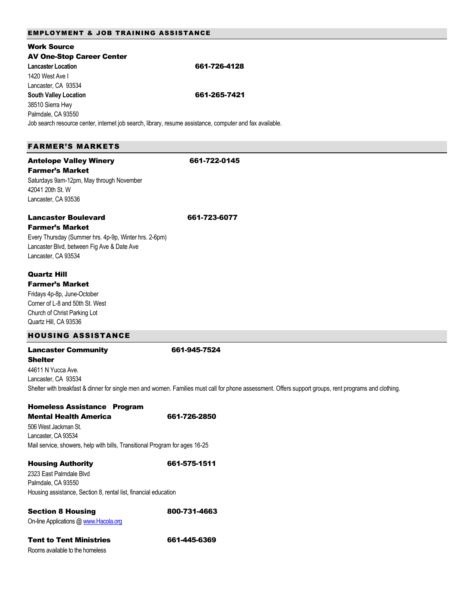#### EMPLOYMENT & JOB TRAINING ASSISTANCE

| <b>Work Source</b>                                                                                       |                                                                                                                                                       |
|----------------------------------------------------------------------------------------------------------|-------------------------------------------------------------------------------------------------------------------------------------------------------|
| <b>AV One-Stop Career Center</b>                                                                         |                                                                                                                                                       |
| <b>Lancaster Location</b>                                                                                | 661-726-4128                                                                                                                                          |
| 1420 West Ave I                                                                                          |                                                                                                                                                       |
| Lancaster, CA 93534                                                                                      |                                                                                                                                                       |
| <b>South Valley Location</b>                                                                             | 661-265-7421                                                                                                                                          |
|                                                                                                          |                                                                                                                                                       |
| 38510 Sierra Hwy                                                                                         |                                                                                                                                                       |
| Palmdale, CA 93550                                                                                       |                                                                                                                                                       |
| Job search resource center, internet job search, library, resume assistance, computer and fax available. |                                                                                                                                                       |
|                                                                                                          |                                                                                                                                                       |
| <b>FARMER'S MARKETS</b>                                                                                  |                                                                                                                                                       |
| <b>Antelope Valley Winery</b>                                                                            | 661-722-0145                                                                                                                                          |
| <b>Farmer's Market</b>                                                                                   |                                                                                                                                                       |
|                                                                                                          |                                                                                                                                                       |
| Saturdays 9am-12pm, May through November                                                                 |                                                                                                                                                       |
| 42041 20th St. W                                                                                         |                                                                                                                                                       |
| Lancaster, CA 93536                                                                                      |                                                                                                                                                       |
| <b>Lancaster Boulevard</b>                                                                               | 661-723-6077                                                                                                                                          |
| <b>Farmer's Market</b>                                                                                   |                                                                                                                                                       |
| Every Thursday (Summer hrs. 4p-9p, Winter hrs. 2-6pm)                                                    |                                                                                                                                                       |
|                                                                                                          |                                                                                                                                                       |
| Lancaster Blvd, between Fig Ave & Date Ave                                                               |                                                                                                                                                       |
| Lancaster, CA 93534                                                                                      |                                                                                                                                                       |
| <b>Quartz Hill</b>                                                                                       |                                                                                                                                                       |
| <b>Farmer's Market</b>                                                                                   |                                                                                                                                                       |
| Fridays 4p-8p, June-October                                                                              |                                                                                                                                                       |
| Corner of L-8 and 50th St. West                                                                          |                                                                                                                                                       |
| Church of Christ Parking Lot                                                                             |                                                                                                                                                       |
|                                                                                                          |                                                                                                                                                       |
| Quartz Hill, CA 93536                                                                                    |                                                                                                                                                       |
| <b>HOUSING ASSISTANCE</b>                                                                                |                                                                                                                                                       |
| <b>Lancaster Community</b>                                                                               | 661-945-7524                                                                                                                                          |
| <b>Shelter</b>                                                                                           |                                                                                                                                                       |
| 44611 N Yucca Ave.                                                                                       |                                                                                                                                                       |
| Lancaster, CA 93534                                                                                      |                                                                                                                                                       |
|                                                                                                          | Shelter with breakfast & dinner for single men and women. Families must call for phone assessment. Offers support groups, rent programs and clothing. |
|                                                                                                          |                                                                                                                                                       |
| <b>Homeless Assistance Program</b>                                                                       |                                                                                                                                                       |
| <b>Mental Health America</b>                                                                             | 661-726-2850                                                                                                                                          |
| 506 West Jackman St.                                                                                     |                                                                                                                                                       |
| Lancaster, CA 93534                                                                                      |                                                                                                                                                       |
| Mail service, showers, help with bills, Transitional Program for ages 16-25                              |                                                                                                                                                       |
| <b>Housing Authority</b>                                                                                 | 661-575-1511                                                                                                                                          |
| 2323 East Palmdale Blvd                                                                                  |                                                                                                                                                       |
|                                                                                                          |                                                                                                                                                       |
| Palmdale, CA 93550                                                                                       |                                                                                                                                                       |
| Housing assistance, Section 8, rental list, financial education                                          |                                                                                                                                                       |
| <b>Section 8 Housing</b>                                                                                 | 800-731-4663                                                                                                                                          |
| On-line Applications @ www.Hacola.org                                                                    |                                                                                                                                                       |
|                                                                                                          |                                                                                                                                                       |
| <b>Tent to Tent Ministries</b>                                                                           | 661-445-6369                                                                                                                                          |
| Rooms available to the homeless                                                                          |                                                                                                                                                       |
|                                                                                                          |                                                                                                                                                       |
|                                                                                                          |                                                                                                                                                       |
|                                                                                                          |                                                                                                                                                       |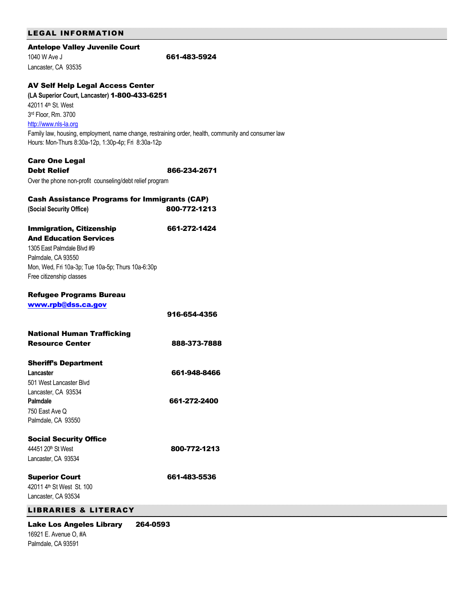| <b>Antelope Valley Juvenile Court</b>                    |                                                                                                     |
|----------------------------------------------------------|-----------------------------------------------------------------------------------------------------|
| 1040 W Ave J                                             | 661-483-5924                                                                                        |
| Lancaster, CA 93535                                      |                                                                                                     |
| <b>AV Self Help Legal Access Center</b>                  |                                                                                                     |
| (LA Superior Court, Lancaster) 1-800-433-6251            |                                                                                                     |
| 42011 4 <sup>th</sup> St. West                           |                                                                                                     |
| 3rd Floor, Rm. 3700                                      |                                                                                                     |
| http://www.nls-la.org                                    |                                                                                                     |
|                                                          | Family law, housing, employment, name change, restraining order, health, community and consumer law |
| Hours: Mon-Thurs 8:30a-12p, 1:30p-4p; Fri 8:30a-12p      |                                                                                                     |
| <b>Care One Legal</b>                                    |                                                                                                     |
| <b>Debt Relief</b>                                       | 866-234-2671                                                                                        |
| Over the phone non-profit counseling/debt relief program |                                                                                                     |
| <b>Cash Assistance Programs for Immigrants (CAP)</b>     |                                                                                                     |
| (Social Security Office)                                 | 800-772-1213                                                                                        |
| <b>Immigration, Citizenship</b>                          | 661-272-1424                                                                                        |
| <b>And Education Services</b>                            |                                                                                                     |
| 1305 East Palmdale Blvd #9                               |                                                                                                     |
| Palmdale, CA 93550                                       |                                                                                                     |
| Mon, Wed, Fri 10a-3p; Tue 10a-5p; Thurs 10a-6:30p        |                                                                                                     |
| Free citizenship classes                                 |                                                                                                     |
| <b>Refugee Programs Bureau</b>                           |                                                                                                     |
| www.rpb@dss.ca.gov                                       |                                                                                                     |
|                                                          | 916-654-4356                                                                                        |
| <b>National Human Trafficking</b>                        |                                                                                                     |
| <b>Resource Center</b>                                   | 888-373-7888                                                                                        |
| <b>Sheriff's Department</b>                              |                                                                                                     |
| Lancaster                                                | 661-948-8466                                                                                        |
| 501 West Lancaster Blvd                                  |                                                                                                     |
| Lancaster, CA 93534                                      |                                                                                                     |
| Palmdale                                                 | 661-272-2400                                                                                        |
| 750 East Ave Q                                           |                                                                                                     |
| Palmdale, CA 93550                                       |                                                                                                     |
| <b>Social Security Office</b>                            |                                                                                                     |
| 44451 20 <sup>th</sup> St West                           | 800-772-1213                                                                                        |
| Lancaster, CA 93534                                      |                                                                                                     |
| <b>Superior Court</b>                                    | 661-483-5536                                                                                        |
| 42011 4th St West St. 100                                |                                                                                                     |
| Lancaster, CA 93534                                      |                                                                                                     |
| <b>LIBRARIES &amp; LITERACY</b>                          |                                                                                                     |
| <b>Lake Los Angeles Library</b>                          | 264-0593                                                                                            |

16921 E. Avenue O, #A Palmdale, CA 93591

LEGAL INFORMATION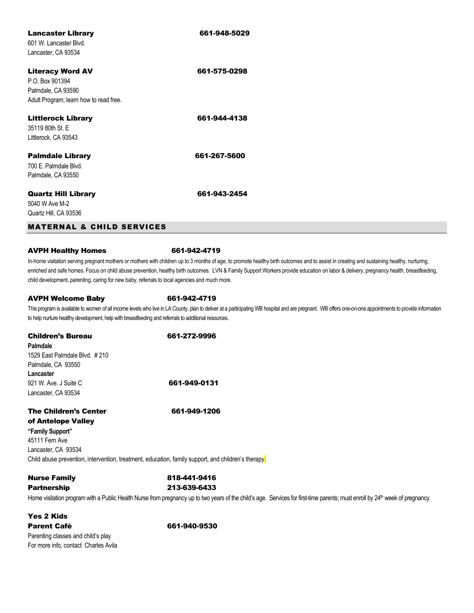| <b>Lancaster Library</b><br>601 W. Lancaster Blvd.<br>Lancaster, CA 93534                                  | 661-948-5029 |
|------------------------------------------------------------------------------------------------------------|--------------|
| <b>Literacy Word AV</b><br>P.O. Box 901394<br>Palmdale, CA 93590<br>Adult Program; learn how to read free. | 661-575-0298 |
| <b>Littlerock Library</b><br>35119 80th St. E<br>Littlerock, CA 93543                                      | 661-944-4138 |
| <b>Palmdale Library</b><br>700 E. Palmdale Blvd.<br>Palmdale, CA 93550                                     | 661-267-5600 |
| <b>Quartz Hill Library</b><br>5040 W Ave M-2<br>Quartz Hill, CA 93536                                      | 661-943-2454 |
| <b>MATERNAL &amp; CHILD SERVICES</b>                                                                       |              |

#### AVPH Healthy Homes 661-942-4719

In-home visitation serving pregnant mothers or mothers with children up to 3 months of age, to promote healthy birth outcomes and to assist in creating and sustaining healthy, nurturing, enriched and safe homes. Focus on child abuse prevention, healthy birth outcomes. LVN & Family Support Workers provide education on labor & delivery, pregnancy health, breastfeeding, child development, parenting, caring for new baby, referrals to local agencies and much more.

#### AVPH Welcome Baby 661-942-4719

This program is available to women of all income levels who live in LA County, plan to deliver at a participating WB hospital and are pregnant. WB offers one-on-one appointments to provide information to help nurture healthy development, help with breastfeeding and referrals to additional resources.

| <b>Children's Bureau</b>                           | 661-272-9996 |
|----------------------------------------------------|--------------|
| Palmdale                                           |              |
| 1529 East Palmdale Blvd. #210                      |              |
| Palmdale, CA 93550                                 |              |
| Lancaster                                          |              |
| 921 W. Ave. J Suite C.                             | 661-949-0131 |
| Lancaster, CA 93534                                |              |
| <b>The Children's Center</b><br>of Antelope Valley | 661-949-1206 |

**"Family Support"** 45111 Fern Ave Lancaster, CA 93534 Child abuse prevention, intervention, treatment, education, family support, and children's therapy.

## **Nurse Family 818-441-9416** Partnership 213-639-6433

Home visitation program with a Public Health Nurse from pregnancy up to two years of the child's age. Services for first-time parents; must enroll by 24<sup>th</sup> week of pregnancy.

## Yes 2 Kids Parent Café 661-940-9530

Parenting classes and child's play For more info, contact Charles Avila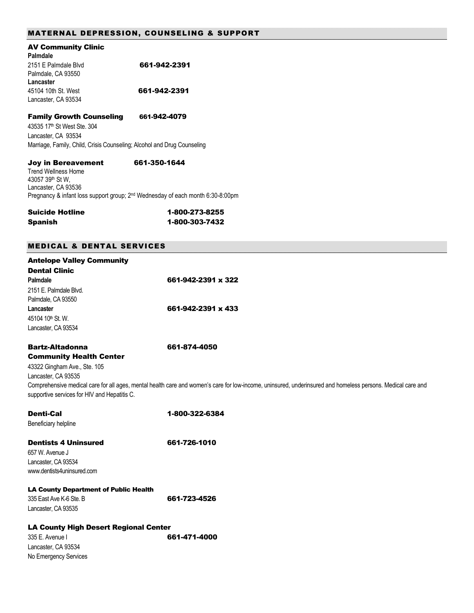| <b>AV Community Clinic</b><br>Palmdale                                  |              |
|-------------------------------------------------------------------------|--------------|
| 2151 F Palmdale Blvd                                                    | 661-942-2391 |
| Palmdale, CA 93550                                                      |              |
| Lancaster                                                               |              |
| 45104 10th St. West                                                     | 661-942-2391 |
| Lancaster, CA 93534                                                     |              |
| <b>Family Growth Counseling</b>                                         | 661-942-4079 |
| 43535 17 <sup>th</sup> St West Ste. 304                                 |              |
| Lancaster, CA 93534                                                     |              |
| Marriage, Family, Child, Crisis Counseling; Alcohol and Drug Counseling |              |
| <b>Joy in Bereavement</b>                                               | 661-350-1644 |

Trend Wellness Home 43057 39th St W, Lancaster, CA 93536 Pregnancy & infant loss support group; 2<sup>nd</sup> Wednesday of each month 6:30-8:00pm

| <b>Suicide Hotline</b> | 1-800-273-8255 |
|------------------------|----------------|
| <b>Spanish</b>         | 1-800-303-7432 |

## MEDICAL & DENTAL SERVICES

| <b>Antelope Valley Community</b><br><b>Dental Clinic</b>                                                                                                        |                                                                                                                                                                             |
|-----------------------------------------------------------------------------------------------------------------------------------------------------------------|-----------------------------------------------------------------------------------------------------------------------------------------------------------------------------|
| Palmdale<br>2151 E. Palmdale Blvd.<br>Palmdale, CA 93550                                                                                                        | 661-942-2391 x 322                                                                                                                                                          |
| Lancaster<br>45104 10th St. W.<br>Lancaster, CA 93534                                                                                                           | 661-942-2391 x 433                                                                                                                                                          |
| <b>Bartz-Altadonna</b><br><b>Community Health Center</b><br>43322 Gingham Ave., Ste. 105<br>Lancaster, CA 93535<br>supportive services for HIV and Hepatitis C. | 661-874-4050<br>Comprehensive medical care for all ages, mental health care and women's care for low-income, uninsured, underinsured and homeless persons. Medical care and |
| <b>Denti-Cal</b><br>Beneficiary helpline                                                                                                                        | 1-800-322-6384                                                                                                                                                              |
| <b>Dentists 4 Uninsured</b><br>657 W. Avenue J<br>Lancaster, CA 93534<br>www.dentists4uninsured.com                                                             | 661-726-1010                                                                                                                                                                |
| <b>LA County Department of Public Health</b><br>335 East Ave K-6 Ste. B<br>Lancaster, CA 93535                                                                  | 661-723-4526                                                                                                                                                                |
| <b>LA County High Desert Regional Center</b><br>335 E. Avenue I<br>Lancaster, CA 93534                                                                          | 661-471-4000                                                                                                                                                                |
| No Emergency Services                                                                                                                                           |                                                                                                                                                                             |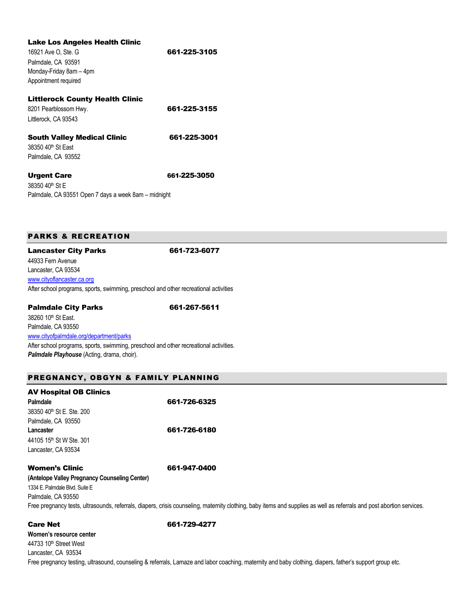| Lake Los Angeles Health Clinic                       |              |
|------------------------------------------------------|--------------|
| 16921 Ave O, Ste. G                                  | 661-225-3105 |
| Palmdale, CA 93591                                   |              |
| Monday-Friday 8am - 4pm                              |              |
| Appointment required                                 |              |
| <b>Littlerock County Health Clinic</b>               |              |
| 8201 Pearblossom Hwy.                                | 661-225-3155 |
| Littlerock. CA 93543                                 |              |
| <b>South Valley Medical Clinic</b>                   | 661-225-3001 |
| 38350 40 <sup>th</sup> St Fast                       |              |
| Palmdale, CA 93552                                   |              |
| <b>Urgent Care</b>                                   | 661-225-3050 |
| 38350 40 <sup>th</sup> St F                          |              |
| Palmdale, CA 93551 Open 7 days a week 8am – midnight |              |

## PARKS & RECREATION

Lancaster City Parks 661-723-6077 44933 Fern Avenue Lancaster, CA 93534 [www.cityoflancaster.ca.org](http://www.cityoflancaster.ca.org/) After school programs, sports, swimming, preschool and other recreational activities

Palmdale City Parks 661-267-5611

38260 10<sup>th</sup> St East. Palmdale, CA 93550 [www.cityofpalmdale.org/department/parks](http://www.cityofpalmdale.org/department/parks)

After school programs, sports, swimming, preschool and other recreational activities. *Palmdale Playhouse* (Acting, drama, choir).

#### PREGNANCY, OBGYN & FAMILY PLANNING

| <b>AV Hospital OB Clinics</b>         |              |
|---------------------------------------|--------------|
| Palmdale                              | 661-726-6325 |
| 38350 40 <sup>th</sup> St E. Ste. 200 |              |
| Palmdale, CA 93550                    |              |
| Lancaster                             | 661-726-6180 |
| 44105 15th St W Ste. 301              |              |
| Lancaster, CA 93534                   |              |
|                                       |              |

#### Women's Clinic 661-947-0400

**(Antelope Valley Pregnancy Counseling Center)**  1334 E. Palmdale Blvd. Suite E Palmdale, CA 93550 Free pregnancy tests, ultrasounds, referrals, diapers, crisis counseling, maternity clothing, baby items and supplies as well as referrals and post abortion services.

Care Net 661-729-4277

**Women's resource center** 44733 10<sup>th</sup> Street West Lancaster, CA 93534 Free pregnancy testing, ultrasound, counseling & referrals, Lamaze and labor coaching, maternity and baby clothing, diapers, father's support group etc.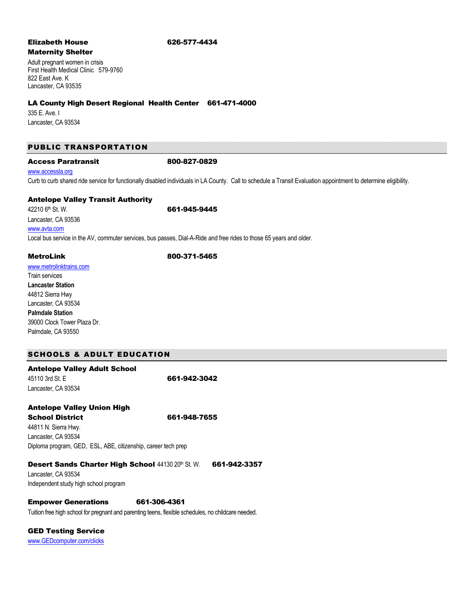#### Elizabeth House 626-577-4434

# Maternity Shelter

Adult pregnant women in crisis First Health Medical Clinic 579-9760 822 East Ave. K Lancaster, CA 93535

#### LA County High Desert Regional Health Center 661-471-4000

335 E. Ave. I Lancaster, CA 93534

#### PUBLIC TRANSPORTATION

#### Access Paratransit 800-827-0829

#### www.accessla.org

Curb to curb shared ride service for functionally disabled individuals in LA County. Call to schedule a Transit Evaluation appointment to determine eligibility.

#### Antelope Valley Transit Authority

42210 6th St. W. **661-945-9445** Lancaster, CA 93536 [www.avta.com](http://www.avta.com/) Local bus service in the AV, commuter services, bus passes, Dial-A-Ride and free rides to those 65 years and older.

MetroLink 800-371-5465

[www.metrolinktrains.com](http://www.metrolinktrains.com/) Train services **Lancaster Station** 44812 Sierra Hwy Lancaster, CA 93534 **Palmdale Station** 39000 Clock Tower Plaza Dr. Palmdale, CA 93550

#### SCHOOLS & ADULT EDUCATION

| <b>Antelope Valley Adult School</b>                           |              |
|---------------------------------------------------------------|--------------|
| 45110 3rd St. E                                               | 661-942-3042 |
| Lancaster, CA 93534                                           |              |
| <b>Antelope Valley Union High</b>                             |              |
| <b>School District</b>                                        | 661-948-7655 |
| 44811 N. Sierra Hwy.                                          |              |
| Lancaster, CA 93534                                           |              |
| Diploma program, GED, ESL, ABE, citizenship, career tech prep |              |
|                                                               |              |

## Desert Sands Charter High School 44130 20th St. W. 661-942-3357

Lancaster, CA 93534 Independent study high school program

# Empower Generations 661-306-4361

Tuition free high school for pregnant and parenting teens, flexible schedules, no childcare needed.

GED Testing Service

[www.GEDcomputer.com/clicks](http://www.gedcomputer.com/clicks)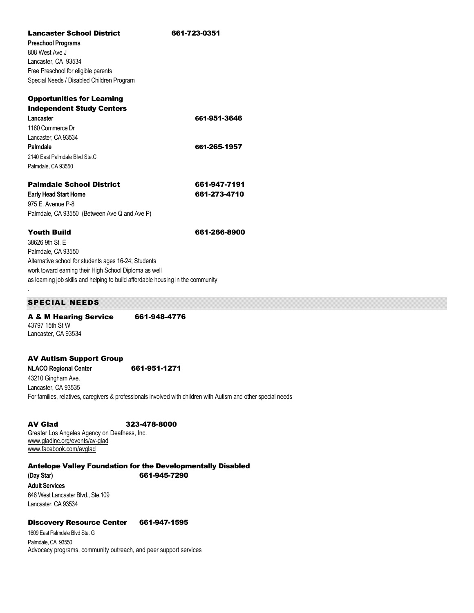| <b>Lancaster School District</b>                                                | 661-723-0351 |
|---------------------------------------------------------------------------------|--------------|
| <b>Preschool Programs</b>                                                       |              |
| 808 West Ave J                                                                  |              |
| Lancaster, CA 93534                                                             |              |
| Free Preschool for eligible parents                                             |              |
| Special Needs / Disabled Children Program                                       |              |
| <b>Opportunities for Learning</b>                                               |              |
| <b>Independent Study Centers</b>                                                |              |
| Lancaster                                                                       | 661-951-3646 |
| 1160 Commerce Dr                                                                |              |
| Lancaster, CA 93534                                                             |              |
| Palmdale                                                                        | 661-265-1957 |
| 2140 East Palmdale Blyd Ste.C                                                   |              |
| Palmdale, CA 93550                                                              |              |
| <b>Palmdale School District</b>                                                 | 661-947-7191 |
| <b>Early Head Start Home</b>                                                    | 661-273-4710 |
| 975 E. Avenue P-8                                                               |              |
| Palmdale, CA 93550 (Between Ave Q and Ave P)                                    |              |
| <b>Youth Build</b>                                                              | 661-266-8900 |
| 38626 9th St. F                                                                 |              |
| Palmdale, CA 93550                                                              |              |
| Alternative school for students ages 16-24; Students                            |              |
| work toward earning their High School Diploma as well                           |              |
| as learning job skills and helping to build affordable housing in the community |              |

#### SPECIAL NEEDS

.

A & M Hearing Service 661-948-4776 43797 15th St W Lancaster, CA 93534

AV Autism Support Group NLACO Regional Center<br> **661-951-1271** 43210 Gingham Ave. Lancaster, CA 93535 For families, relatives, caregivers & professionals involved with children with Autism and other special needs

AV Glad 323-478-8000 Greater Los Angeles Agency on Deafness, Inc. [www.gladinc.org/events/av-glad](http://www.gladinc.org/events/av-glad) [www.facebook.com/avglad](http://www.facebook.com/avglad)

Antelope Valley Foundation for the Developmentally Disabled

**(Day Star)** 661-945-7290 **Adult Services** 646 West Lancaster Blvd., Ste.109 Lancaster, CA 93534

#### Discovery Resource Center 661-947-1595

1609 East Palmdale Blvd Ste. G Palmdale, CA 93550 Advocacy programs, community outreach, and peer support services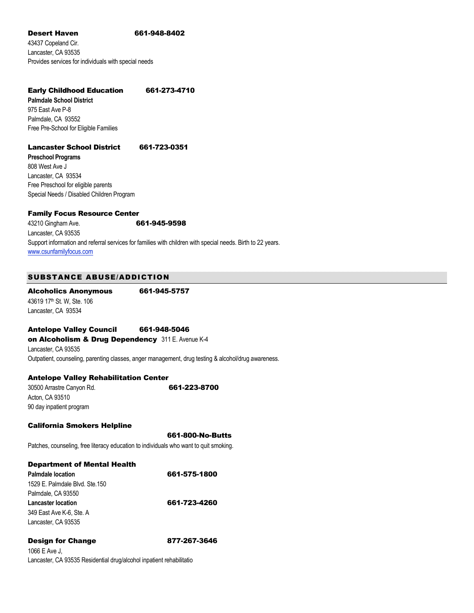#### Desert Haven 661-948-8402

43437 Copeland Cir. Lancaster, CA 93535 Provides services for individuals with special needs

#### Early Childhood Education 661-273-4710

**Palmdale School District** 975 East Ave P-8 Palmdale, CA 93552 Free Pre-School for Eligible Families

#### Lancaster School District 661-723-0351

**Preschool Programs** 808 West Ave J Lancaster, CA 93534 Free Preschool for eligible parents Special Needs / Disabled Children Program

#### Family Focus Resource Center

| 43210 Gingham Ave.      | 661-945-9598                                                                                                |
|-------------------------|-------------------------------------------------------------------------------------------------------------|
| Lancaster. CA 93535     |                                                                                                             |
|                         | Support information and referral services for families with children with special needs. Birth to 22 years. |
| www.csunfamilyfocus.com |                                                                                                             |

#### SUBSTANCE ABUSE/ADDICTION

Alcoholics Anonymous 661-945-5757 43619 17<sup>th</sup> St. W, Ste. 106 Lancaster, CA 93534

#### Antelope Valley Council 661-948-5046

on Alcoholism & Drug Dependency 311 E. Avenue K-4 Lancaster, CA 93535 Outpatient, counseling, parenting classes, anger management, drug testing & alcohol/drug awareness.

#### Antelope Valley Rehabilitation Center

30500 Arrastre Canyon Rd. **661-223-8700** Acton, CA 93510 90 day inpatient program

#### California Smokers Helpline

661-800-No-Butts

Patches, counseling, free literacy education to individuals who want to quit smoking.

#### Department of Mental Health

| <b>Palmdale location</b>        | 661-575-1800 |
|---------------------------------|--------------|
| 1529 E. Palmdale Blvd. Ste. 150 |              |
| Palmdale, CA 93550              |              |
| <b>Lancaster location</b>       | 661-723-4260 |
| 349 East Ave K-6, Ste, A        |              |
| Lancaster, CA 93535             |              |

#### Design for Change 877-267-3646

1066 E Ave J, Lancaster, CA 93535 Residential drug/alcohol inpatient rehabilitatio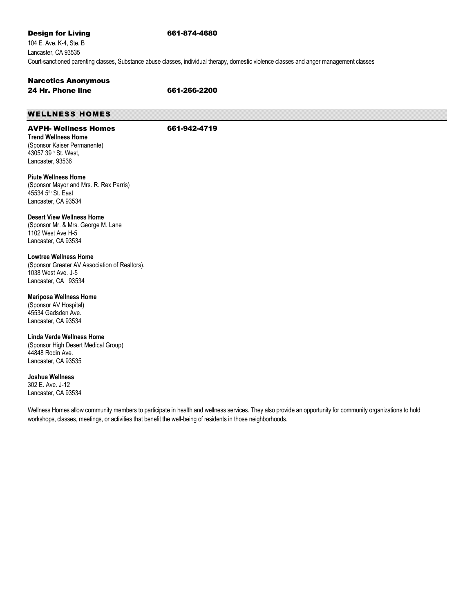#### **Design for Living 661-874-4680**

104 E. Ave. K-4, Ste. B Lancaster, CA 93535 Court-sanctioned parenting classes, Substance abuse classes, individual therapy, domestic violence classes and anger management classes

#### Narcotics Anonymous 24 Hr. Phone line 661-266-2200

#### WELLNESS HOMES

#### AVPH- Wellness Homes 661-942-4719

**Trend Wellness Home** (Sponsor Kaiser Permanente) 43057 39th St. West, Lancaster, 93536

**Piute Wellness Home** (Sponsor Mayor and Mrs. R. Rex Parris) 45534 5<sup>th</sup> St. East Lancaster, CA 93534

**Desert View Wellness Home**  (Sponsor Mr. & Mrs. George M. Lane 1102 West Ave H-5 Lancaster, CA 93534

**Lowtree Wellness Home**  (Sponsor Greater AV Association of Realtors). 1038 West Ave. J-5

Lancaster, CA 93534

**Mariposa Wellness Home** 

(Sponsor AV Hospital) 45534 Gadsden Ave. Lancaster, CA 93534

**Linda Verde Wellness Home**  (Sponsor High Desert Medical Group) 44848 Rodin Ave. Lancaster, CA 93535

**Joshua Wellness** 

302 E. Ave. J-12 Lancaster, CA 93534

Wellness Homes allow community members to participate in health and wellness services. They also provide an opportunity for community organizations to hold workshops, classes, meetings, or activities that benefit the well-being of residents in those neighborhoods.